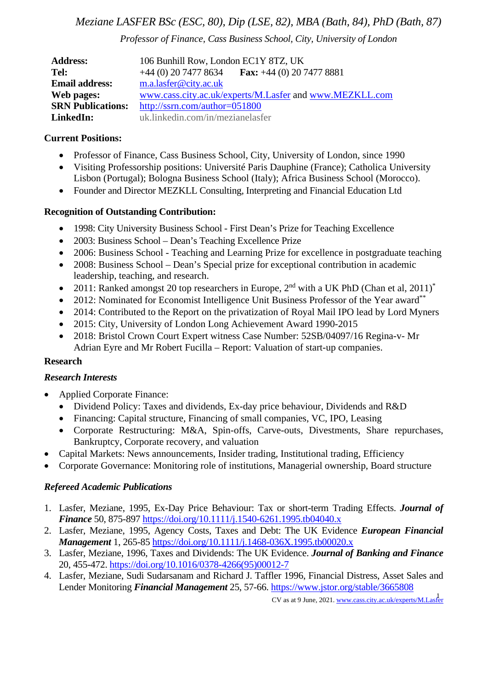# *Meziane LASFER BSc (ESC, 80), Dip (LSE, 82), MBA (Bath, 84), PhD (Bath, 87)*

*Professor of Finance, Cass Business School, City, University of London*

| <b>Address:</b>          | 106 Bunhill Row, London EC1Y 8TZ, UK                         |
|--------------------------|--------------------------------------------------------------|
| Tel:                     | <b>Fax:</b> $+44$ (0) 20 7477 8881<br>$+44$ (0) 20 7477 8634 |
| <b>Email address:</b>    | m.a.lasfer@city.ac.uk                                        |
| Web pages:               | www.cass.city.ac.uk/experts/M.Lasfer and www.MEZKLL.com      |
| <b>SRN Publications:</b> | http://ssrn.com/author=051800                                |
| LinkedIn:                | uk.linkedin.com/in/mezianelasfer                             |

### **Current Positions:**

- Professor of Finance, Cass Business School, City, University of London, since 1990
- Visiting Professorship positions: Université Paris Dauphine (France); Catholica University Lisbon (Portugal); Bologna Business School (Italy); Africa Business School (Morocco).
- Founder and Director MEZKLL Consulting, Interpreting and Financial Education Ltd

### **Recognition of Outstanding Contribution:**

- 1998: City University Business School First Dean's Prize for Teaching Excellence
- 2003: Business School Dean's Teaching Excellence Prize
- 2006: Business School Teaching and Learning Prize for excellence in postgraduate teaching
- 2008: Business School Dean's Special prize for exceptional contribution in academic leadership, teaching, and research.
- 2011: Ranked amongst 20 top researchers in Europe,  $2<sup>nd</sup>$  with a UK PhD (Chan et al, 2011)<sup>\*</sup>
- 2012: Nominated for Economist Intelligence Unit Business Professor of the Year award\*\*
- 2014: Contributed to the Report on the privatization of Royal Mail IPO lead by Lord Myners
- 2015: City, University of London Long Achievement Award 1990-2015
- 2018: Bristol Crown Court Expert witness Case Number: 52SB/04097/16 Regina-v- Mr Adrian Eyre and Mr Robert Fucilla – Report: Valuation of start-up companies.

#### **Research**

#### *Research Interests*

- Applied Corporate Finance:
	- Dividend Policy: Taxes and dividends, Ex-day price behaviour, Dividends and R&D
	- Financing: Capital structure, Financing of small companies, VC, IPO, Leasing
	- Corporate Restructuring: M&A, Spin-offs, Carve-outs, Divestments, Share repurchases, Bankruptcy, Corporate recovery, and valuation
- Capital Markets: News announcements, Insider trading, Institutional trading, Efficiency
- Corporate Governance: Monitoring role of institutions, Managerial ownership, Board structure

## *Refereed Academic Publications*

- 1. Lasfer, Meziane, 1995, Ex-Day Price Behaviour: Tax or short-term Trading Effects. *Journal of Finance* 50, 875-897<https://doi.org/10.1111/j.1540-6261.1995.tb04040.x>
- 2. Lasfer, Meziane, 1995, Agency Costs, Taxes and Debt: The UK Evidence *European Financial Management* 1, 265-85 <https://doi.org/10.1111/j.1468-036X.1995.tb00020.x>
- 3. Lasfer, Meziane, 1996, Taxes and Dividends: The UK Evidence. *Journal of Banking and Finance* 20, 455-472. [https://doi.org/10.1016/0378-4266\(95\)00012-7](https://doi.org/10.1016/0378-4266(95)00012-7)
- 4. Lasfer, Meziane, Sudi Sudarsanam and Richard J. Taffler 1996, Financial Distress, Asset Sales and Lender Monitoring *Financial Management* 25, 57-66. <https://www.jstor.org/stable/3665808>

CV as at 9 June, 2021. www.cass.city.ac.uk/experts/M.Lasfer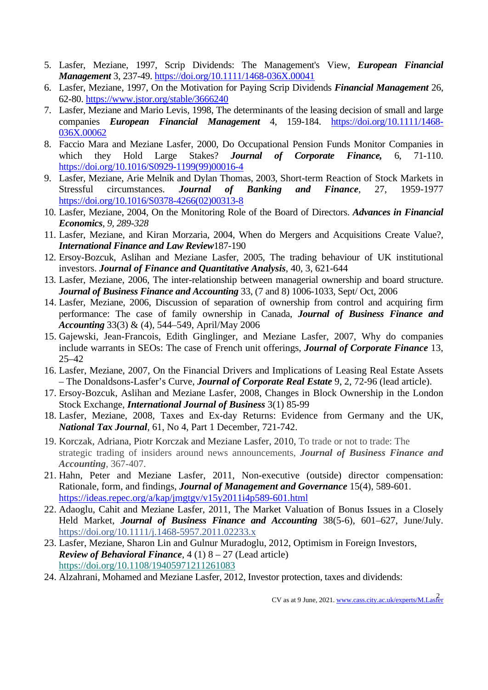- 5. Lasfer, Meziane, 1997, Scrip Dividends: The Management's View, *European Financial Management* 3, 237-49. <https://doi.org/10.1111/1468-036X.00041>
- 6. Lasfer, Meziane, 1997, On the Motivation for Paying Scrip Dividends *Financial Management* 26, 62-80. <https://www.jstor.org/stable/3666240>
- 7. Lasfer, Meziane and Mario Levis, 1998, The determinants of the leasing decision of small and large companies *European Financial Management* 4, 159-184. [https://doi.org/10.1111/1468-](https://doi.org/10.1111/1468-036X.00062) [036X.00062](https://doi.org/10.1111/1468-036X.00062)
- 8. Faccio Mara and Meziane Lasfer, 2000, Do Occupational Pension Funds Monitor Companies in which they Hold Large Stakes? *Journal of Corporate Finance,* 6, 71-110. [https://doi.org/10.1016/S0929-1199\(99\)00016-4](https://doi.org/10.1016/S0929-1199(99)00016-41468-036X.00062)
- 9. Lasfer, Meziane, Arie Melnik and Dylan Thomas, 2003, Short-term Reaction of Stock Markets in Stressful circumstances*. Journal of Banking and Finance*, 27, 1959-1977 [https://doi.org/10.1016/S0378-4266\(02\)00313-8](https://doi.org/10.1016/S0378-4266(02)00313-8)
- 10. Lasfer, Meziane, 2004, On the Monitoring Role of the Board of Directors. *Advances in Financial Economics, 9, 289-328*
- 11. Lasfer, Meziane, and Kiran Morzaria, 2004, When do Mergers and Acquisitions Create Value?*, International Finance and Law Review*187-190
- 12. Ersoy-Bozcuk, Aslihan and Meziane Lasfer, 2005, The trading behaviour of UK institutional investors. *Journal of Finance and Quantitative Analysis*, 40, 3, 621-644
- 13. Lasfer, Meziane, 2006, The inter-relationship between managerial ownership and board structure. *Journal of Business Finance and Accounting* 33, (7 and 8) 1006-1033, Sept/ Oct, 2006
- 14. Lasfer, Meziane, 2006, Discussion of separation of ownership from control and acquiring firm performance: The case of family ownership in Canada, *Journal of Business Finance and Accounting* 33(3) & (4), 544–549, April/May 2006
- 15. Gajewski, Jean-Francois, Edith Ginglinger, and Meziane Lasfer, 2007, Why do companies include warrants in SEOs: The case of French unit offerings, *Journal of Corporate Finance* 13, 25–42
- 16. Lasfer, Meziane, 2007, On the Financial Drivers and Implications of Leasing Real Estate Assets – The Donaldsons-Lasfer's Curve, *Journal of Corporate Real Estate* 9, 2, 72-96 (lead article).
- 17. Ersoy-Bozcuk, Aslihan and Meziane Lasfer, 2008, Changes in Block Ownership in the London Stock Exchange, *International Journal of Business* 3(1) 85-99
- 18. Lasfer, Meziane, 2008, Taxes and Ex-day Returns: Evidence from Germany and the UK, *National Tax Journal*, 61, No 4, Part 1 December, 721-742.
- 19. Korczak, Adriana, Piotr Korczak and Meziane Lasfer, 2010, To trade or not to trade: The strategic trading of insiders around news announcements, *Journal of Business Finance and Accounting*, 367-407.
- 21. Hahn, Peter and Meziane Lasfer, 2011, Non-executive (outside) director compensation: Rationale, form, and findings, *Journal of Management and Governance* 15(4), 589-601. <https://ideas.repec.org/a/kap/jmgtgv/v15y2011i4p589-601.html>
- 22. Adaoglu, Cahit and Meziane Lasfer, 2011, The Market Valuation of Bonus Issues in a Closely Held Market, *Journal of Business Finance and Accounting* 38(5-6), 601–627, June/July. <https://doi.org/10.1111/j.1468-5957.2011.02233.x>
- 23. Lasfer, Meziane, Sharon Lin and Gulnur Muradoglu, 2012, Optimism in Foreign Investors, *Review of Behavioral Finance*, 4 (1) 8 – 27 (Lead article) <https://doi.org/10.1108/19405971211261083>
- 24. Alzahrani, Mohamed and Meziane Lasfer, 2012, Investor protection, taxes and dividends: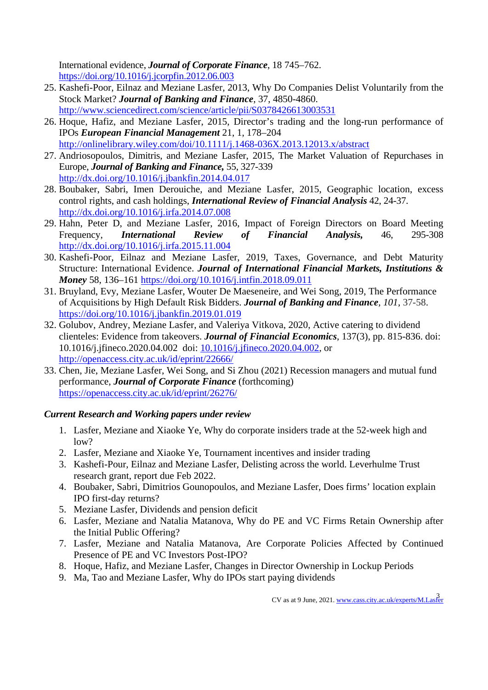International evidence, *Journal of Corporate Finance*, 18 745–762. <https://doi.org/10.1016/j.jcorpfin.2012.06.003>

- 25. Kashefi-Poor, Eilnaz and Meziane Lasfer, 2013, Why Do Companies Delist Voluntarily from the Stock Market? *Journal of Banking and Finance*, 37, 4850-4860. <http://www.sciencedirect.com/science/article/pii/S0378426613003531>
- 26. Hoque, Hafiz, and Meziane Lasfer, 2015, Director's trading and the long-run performance of IPOs *European Financial Management* 21, 1, 178–204 <http://onlinelibrary.wiley.com/doi/10.1111/j.1468-036X.2013.12013.x/abstract>
- 27. [Andriosopoulos,](https://cassmail.city.ac.uk/Exchange/sa352/Sent%20Items/RE:%20Meeting%20request-2.EML/?cmd=editrecipient&Index=0) Dimitris, and Meziane Lasfer, 2015, The Market Valuation of Repurchases in Europe, *Journal of Banking and Finance,* 55, 327-339 <http://dx.doi.org/10.1016/j.jbankfin.2014.04.017>
- 28. Boubaker, Sabri, Imen Derouiche, and Meziane Lasfer, 2015, Geographic location, excess control rights, and cash holdings, *International Review of Financial Analysis* 42, 24-37. <http://dx.doi.org/10.1016/j.irfa.2014.07.008>
- 29. Hahn, Peter D, and Meziane Lasfer, 2016, Impact of Foreign Directors on Board Meeting Frequency, *International Review of Financial Analysis,* 46, 295-308 <http://dx.doi.org/10.1016/j.irfa.2015.11.004>
- 30. Kashefi-Poor, Eilnaz and Meziane Lasfer, 2019, Taxes, Governance, and Debt Maturity Structure: International Evidence. *Journal of International Financial Markets, Institutions & Money* 58, 136–161<https://doi.org/10.1016/j.intfin.2018.09.011>
- 31. Bruyland, Evy, Meziane Lasfer, Wouter De Maeseneire, and Wei Song, 2019, The Performance of Acquisitions by High Default Risk Bidders. *Journal of Banking and Finance, 101,* 37-58. <https://doi.org/10.1016/j.jbankfin.2019.01.019>
- 32. Golubov, Andrey, Meziane Lasfer, and Valeriya Vitkova, 2020, Active catering to dividend clienteles: Evidence from takeovers. *Journal of Financial Economics*, 137(3), pp. 815-836. doi: 10.1016/j.jfineco.2020.04.002 doi: [10.1016/j.jfineco.2020.04.002,](https://doi.org/10.1016/j.jfineco.2020.04.002) or <http://openaccess.city.ac.uk/id/eprint/22666/>
- 33. Chen, Jie, Meziane Lasfer, Wei Song, and Si Zhou (2021) Recession managers and mutual fund performance, *Journal of Corporate Finance* (forthcoming) <https://openaccess.city.ac.uk/id/eprint/26276/>

## *Current Research and Working papers under review*

- 1. Lasfer, Meziane and Xiaoke Ye, Why do corporate insiders trade at the 52-week high and low?
- 2. Lasfer, Meziane and Xiaoke Ye, Tournament incentives and insider trading
- 3. Kashefi-Pour, Eilnaz and Meziane Lasfer, Delisting across the world. Leverhulme Trust research grant, report due Feb 2022.
- 4. Boubaker, Sabri, Dimitrios Gounopoulos, and Meziane Lasfer, Does firms' location explain IPO first-day returns?
- 5. Meziane Lasfer, Dividends and pension deficit
- 6. Lasfer, Meziane and Natalia Matanova, Why do PE and VC Firms Retain Ownership after the Initial Public Offering?
- 7. Lasfer, Meziane and Natalia Matanova, Are Corporate Policies Affected by Continued Presence of PE and VC Investors Post-IPO?
- 8. Hoque, Hafiz, and Meziane Lasfer, Changes in Director Ownership in Lockup Periods
- 9. Ma, Tao and Meziane Lasfer, Why do IPOs start paying dividends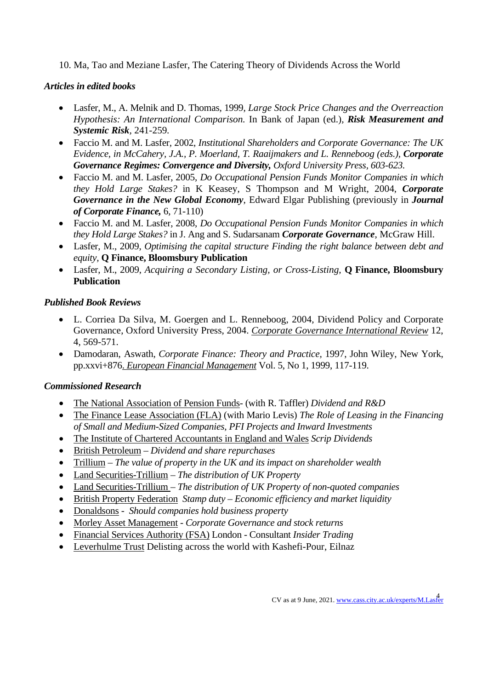10. Ma, Tao and Meziane Lasfer, The Catering Theory of Dividends Across the World

## *Articles in edited books*

- Lasfer, M., A. Melnik and D. Thomas, 1999, *Large Stock Price Changes and the Overreaction Hypothesis: An International Comparison.* In Bank of Japan (ed.)*, Risk Measurement and Systemic Risk,* 241-259*.*
- Faccio M. and M. Lasfer, 2002, *Institutional Shareholders and Corporate Governance: The UK Evidence, in McCahery, J.A., P. Moerland, T. Raaijmakers and L. Renneboog (eds.), Corporate Governance Regimes: Convergence and Diversity, Oxford University Press, 603-623.*
- Faccio M. and M. Lasfer, 2005, *Do Occupational Pension Funds Monitor Companies in which they Hold Large Stakes?* in K Keasey, S Thompson and M Wright, 2004, *Corporate Governance in the New Global Economy*, Edward Elgar Publishing (previously in *Journal of Corporate Finance,* 6, 71-110)
- Faccio M. and M. Lasfer, 2008, *Do Occupational Pension Funds Monitor Companies in which they Hold Large Stakes?* in J. Ang and S. Sudarsanam *Corporate Governance*, McGraw Hill.
- Lasfer, M., 2009, *Optimising the capital structure Finding the right balance between debt and equity,* **Q Finance, Bloomsbury Publication**
- Lasfer, M., 2009, *Acquiring a Secondary Listing, or Cross-Listing,* **Q Finance, Bloomsbury Publication**

# *Published Book Reviews*

- L. Corriea Da Silva, M. Goergen and L. Renneboog, 2004, Dividend Policy and Corporate Governance, Oxford University Press, 2004. *Corporate Governance International Review* 12, 4, 569-571.
- Damodaran, Aswath, *Corporate Finance: Theory and Practice,* 1997, John Wiley, New York, pp.xxvi+876. *European Financial Management* Vol. 5, No 1, 1999, 117-119.

# *Commissioned Research*

- The National Association of Pension Funds- (with R. Taffler) *Dividend and R&D*
- The Finance Lease Association (FLA) (with Mario Levis) *The Role of Leasing in the Financing of Small and Medium-Sized Companies, PFI Projects and Inward Investments*
- The Institute of Chartered Accountants in England and Wales *Scrip Dividends*
- British Petroleum *Dividend and share repurchases*
- Trillium *The value of property in the UK and its impact on shareholder wealth*
- Land Securities-Trillium *The distribution of UK Property*
- Land Securities-Trillium *The distribution of UK Property of non-quoted companies*
- British Property Federation *Stamp duty – Economic efficiency and market liquidity*
- Donaldsons *Should companies hold business property*
- Morley Asset Management *Corporate Governance and stock returns*
- Financial Services Authority (FSA) London Consultant *Insider Trading*
- Leverhulme Trust Delisting across the world with Kashefi-Pour, Eilnaz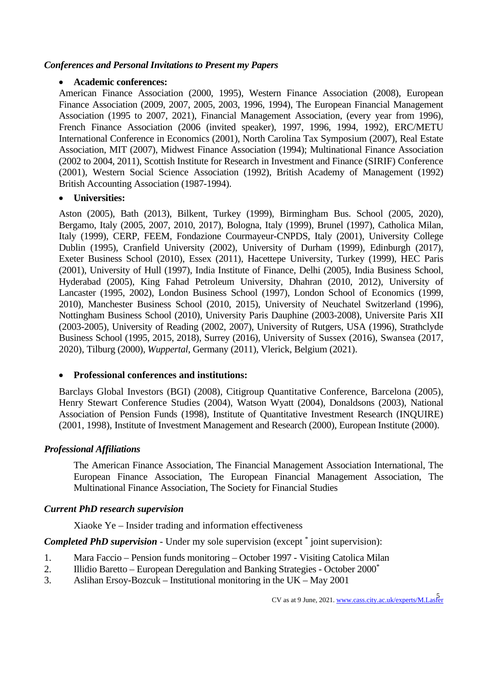### *Conferences and Personal Invitations to Present my Papers*

#### • **Academic conferences:**

American Finance Association (2000, 1995), Western Finance Association (2008), European Finance Association (2009, 2007, 2005, 2003, 1996, 1994), The European Financial Management Association (1995 to 2007, 2021), Financial Management Association, (every year from 1996), French Finance Association (2006 (invited speaker), 1997, 1996, 1994, 1992), ERC/METU International Conference in Economics (2001), North Carolina Tax Symposium (2007), Real Estate Association, MIT (2007), Midwest Finance Association (1994); Multinational Finance Association (2002 to 2004, 2011), Scottish Institute for Research in Investment and Finance (SIRIF) Conference (2001), Western Social Science Association (1992), British Academy of Management (1992) British Accounting Association (1987-1994).

#### • **Universities:**

Aston (2005), Bath (2013), Bilkent, Turkey (1999), Birmingham Bus. School (2005, 2020), Bergamo, Italy (2005, 2007, 2010, 2017), Bologna, Italy (1999), Brunel (1997), Catholica Milan, Italy (1999), CERP, FEEM, Fondazione Courmayeur-CNPDS, Italy (2001), University College Dublin (1995), Cranfield University (2002), University of Durham (1999), Edinburgh (2017), Exeter Business School (2010), Essex (2011), Hacettepe University, Turkey (1999), HEC Paris (2001), University of Hull (1997), India Institute of Finance, Delhi (2005), India Business School, Hyderabad (2005), King Fahad Petroleum University, Dhahran (2010, 2012), University of Lancaster (1995, 2002), London Business School (1997), London School of Economics (1999, 2010), Manchester Business School (2010, 2015), University of Neuchatel Switzerland (1996), Nottingham Business School (2010), University Paris Dauphine (2003-2008), Universite Paris XII (2003-2005), University of Reading (2002, 2007), University of Rutgers, USA (1996), Strathclyde Business School (1995, 2015, 2018), Surrey (2016), University of Sussex (2016), Swansea (2017, 2020), Tilburg (2000), *Wuppertal*, Germany (2011), Vlerick, Belgium (2021).

#### • **Professional conferences and institutions:**

Barclays Global Investors (BGI) (2008), Citigroup Quantitative Conference, Barcelona (2005), Henry Stewart Conference Studies (2004), Watson Wyatt (2004), Donaldsons (2003), National Association of Pension Funds (1998), Institute of Quantitative Investment Research (INQUIRE) (2001, 1998), Institute of Investment Management and Research (2000), European Institute (2000).

#### *Professional Affiliations*

The American Finance Association, The Financial Management Association International, The European Finance Association, The European Financial Management Association, The Multinational Finance Association, The Society for Financial Studies

#### *Current PhD research supervision*

Xiaoke Ye – Insider trading and information effectiveness

*Completed PhD supervision* - Under my sole supervision (except \* joint supervision):

- 1. Mara Faccio Pension funds monitoring October 1997 Visiting Catolica Milan
- 2. Illidio Baretto European Deregulation and Banking Strategies October 2000\*
- 3. Aslihan Ersoy-Bozcuk Institutional monitoring in the UK May 2001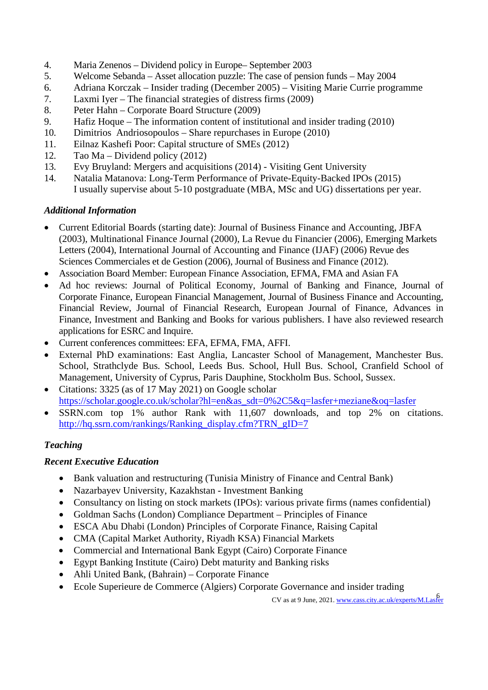- 4. Maria Zenenos Dividend policy in Europe– September 2003<br>5. Welcome Sebanda Asset allocation puzzle: The case of pensi
- 5. Welcome Sebanda Asset allocation puzzle: The case of pension funds May 2004
- 6. Adriana Korczak Insider trading (December 2005) Visiting Marie Currie programme
- 7. Laxmi Iyer The financial strategies of distress firms (2009)
- 8. Peter Hahn Corporate Board Structure (2009)
- 9. Hafiz Hoque The information content of institutional and insider trading (2010)
- 10. Dimitrios [Andriosopoulos](https://cassmail.city.ac.uk/Exchange/sa352/Sent%20Items/RE:%20Meeting%20request-2.EML/?cmd=editrecipient&Index=0) Share repurchases in Europe (2010)
- 11. Eilnaz Kashefi Poor: Capital structure of SMEs (2012)
- 12. Tao Ma Dividend policy (2012)
- 13. Evy Bruyland: Mergers and acquisitions (2014) Visiting Gent University
- 14. Natalia Matanova: Long-Term Performance of Private-Equity-Backed IPOs (2015) I usually supervise about 5-10 postgraduate (MBA, MSc and UG) dissertations per year.

## *Additional Information*

- Current Editorial Boards (starting date): Journal of Business Finance and Accounting, JBFA (2003), Multinational Finance Journal (2000), La Revue du Financier (2006), Emerging Markets Letters (2004), International Journal of Accounting and Finance (IJAF) (2006) Revue des Sciences Commerciales et de Gestion (2006), Journal of Business and Finance (2012).
- Association Board Member: European Finance Association, EFMA, FMA and Asian FA
- Ad hoc reviews: Journal of Political Economy, Journal of Banking and Finance, Journal of Corporate Finance, European Financial Management, Journal of Business Finance and Accounting, Financial Review, Journal of Financial Research, European Journal of Finance, Advances in Finance, Investment and Banking and Books for various publishers. I have also reviewed research applications for ESRC and Inquire.
- Current conferences committees: EFA, EFMA, FMA, AFFI.
- External PhD examinations: East Anglia, Lancaster School of Management, Manchester Bus. School, Strathclyde Bus. School, Leeds Bus. School, Hull Bus. School, Cranfield School of Management, University of Cyprus, Paris Dauphine, Stockholm Bus. School, Sussex.
- Citations: 3325 (as of 17 May 2021) on Google scholar [https://scholar.google.co.uk/scholar?hl=en&as\\_sdt=0%2C5&q=lasfer+meziane&oq=lasfer](https://scholar.google.co.uk/scholar?hl=en&as_sdt=0%2C5&q=lasfer+meziane&oq=lasfer)
- SSRN.com top 1% author Rank with 11,607 downloads, and top 2% on citations. [http://hq.ssrn.com/rankings/Ranking\\_display.cfm?TRN\\_gID=7](http://hq.ssrn.com/GroupProcesses/RedirectClick.cfm?partid=51800&corid=649&runid=9661&url=http://hq.ssrn.com/rankings/Ranking_display.cfm?TRN_gID=7)

## *Teaching*

## *Recent Executive Education*

- Bank valuation and restructuring (Tunisia Ministry of Finance and Central Bank)
- Nazarbayev University, Kazakhstan Investment Banking
- Consultancy on listing on stock markets (IPOs): various private firms (names confidential)
- Goldman Sachs (London) Compliance Department Principles of Finance
- ESCA Abu Dhabi (London) Principles of Corporate Finance, Raising Capital
- CMA (Capital Market Authority, Riyadh KSA) Financial Markets
- Commercial and International Bank Egypt (Cairo) Corporate Finance
- Egypt Banking Institute (Cairo) Debt maturity and Banking risks
- Ahli United Bank, (Bahrain) Corporate Finance
- Ecole Superieure de Commerce (Algiers) Corporate Governance and insider trading

CV as at 9 June, 2021. www.cass.city.ac.uk/experts/M.Lasfer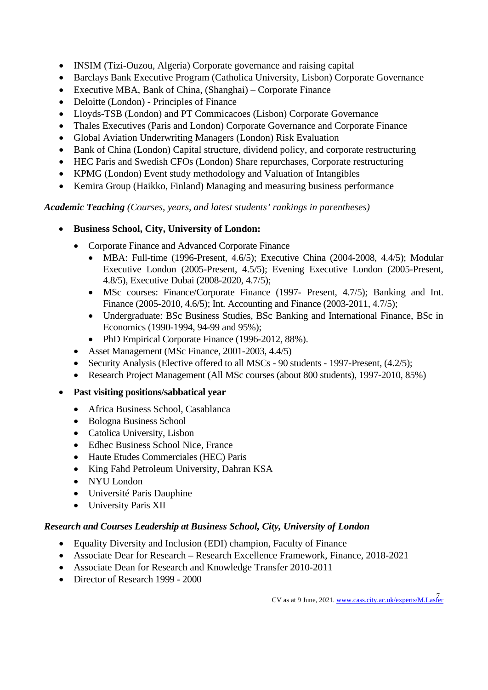- INSIM (Tizi-Ouzou, Algeria) Corporate governance and raising capital
- Barclays Bank Executive Program (Catholica University, Lisbon) Corporate Governance
- Executive MBA, Bank of China, (Shanghai) Corporate Finance
- Deloitte (London) Principles of Finance
- Lloyds-TSB (London) and PT Commicacoes (Lisbon) Corporate Governance
- Thales Executives (Paris and London) Corporate Governance and Corporate Finance
- Global Aviation Underwriting Managers (London) Risk Evaluation
- Bank of China (London) Capital structure, dividend policy, and corporate restructuring
- HEC Paris and Swedish CFOs (London) Share repurchases, Corporate restructuring
- KPMG (London) Event study methodology and Valuation of Intangibles
- Kemira Group (Haikko, Finland) Managing and measuring business performance

*Academic Teaching (Courses, years, and latest students' rankings in parentheses)*

- **Business School, City, University of London:**
	- Corporate Finance and Advanced Corporate Finance
		- MBA: Full-time (1996-Present, 4.6/5); Executive China (2004-2008, 4.4/5); Modular Executive London (2005-Present, 4.5/5); Evening Executive London (2005-Present, 4.8/5), Executive Dubai (2008-2020, 4.7/5);
		- MSc courses: Finance/Corporate Finance (1997- Present, 4.7/5); Banking and Int. Finance (2005-2010, 4.6/5); Int. Accounting and Finance (2003-2011, 4.7/5);
		- Undergraduate: BSc Business Studies, BSc Banking and International Finance, BSc in Economics (1990-1994, 94-99 and 95%);
		- PhD Empirical Corporate Finance (1996-2012, 88%).
	- Asset Management (MSc Finance, 2001-2003, 4.4/5)
	- Security Analysis (Elective offered to all MSCs 90 students 1997-Present, (4.2/5);
	- Research Project Management (All MSc courses (about 800 students), 1997-2010, 85%)
- **Past visiting positions/sabbatical year**
	- Africa Business School, Casablanca
	- Bologna Business School
	- Catolica University, Lisbon
	- Edhec Business School Nice, France
	- Haute Etudes Commerciales (HEC) Paris
	- King Fahd Petroleum University, Dahran KSA
	- NYU London
	- Université Paris Dauphine
	- University Paris XII

## *Research and Courses Leadership at Business School, City, University of London*

- Equality Diversity and Inclusion (EDI) champion, Faculty of Finance
- Associate Dear for Research Research Excellence Framework, Finance, 2018-2021
- Associate Dean for Research and Knowledge Transfer 2010-2011
- Director of Research 1999 2000